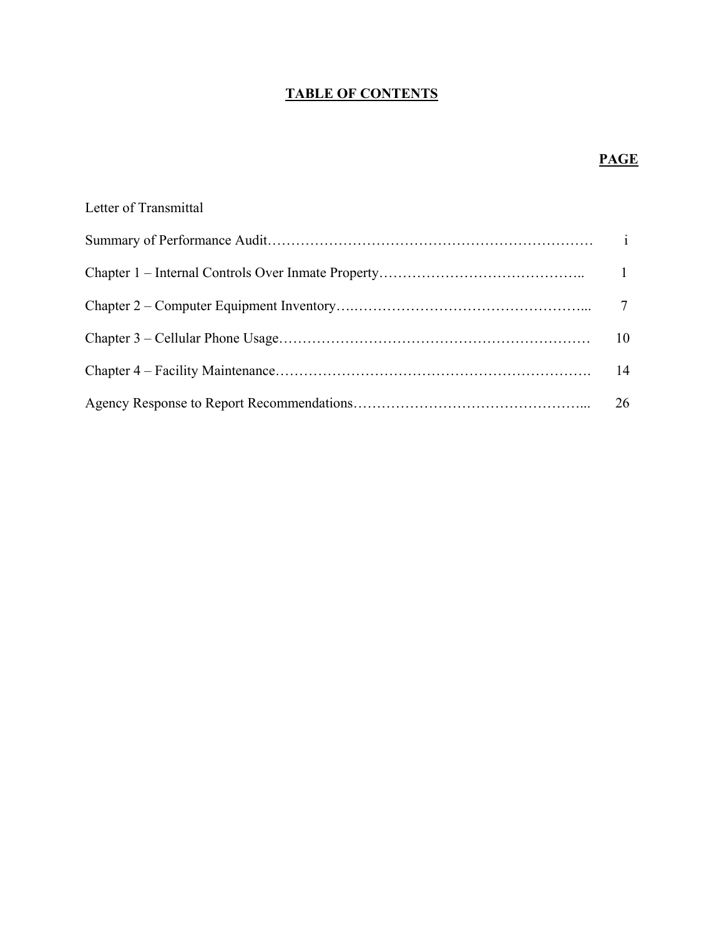## **TABLE OF CONTENTS**

## **PAGE**

| Letter of Transmittal |    |
|-----------------------|----|
|                       |    |
|                       |    |
|                       |    |
|                       | 10 |
|                       | 14 |
|                       | 26 |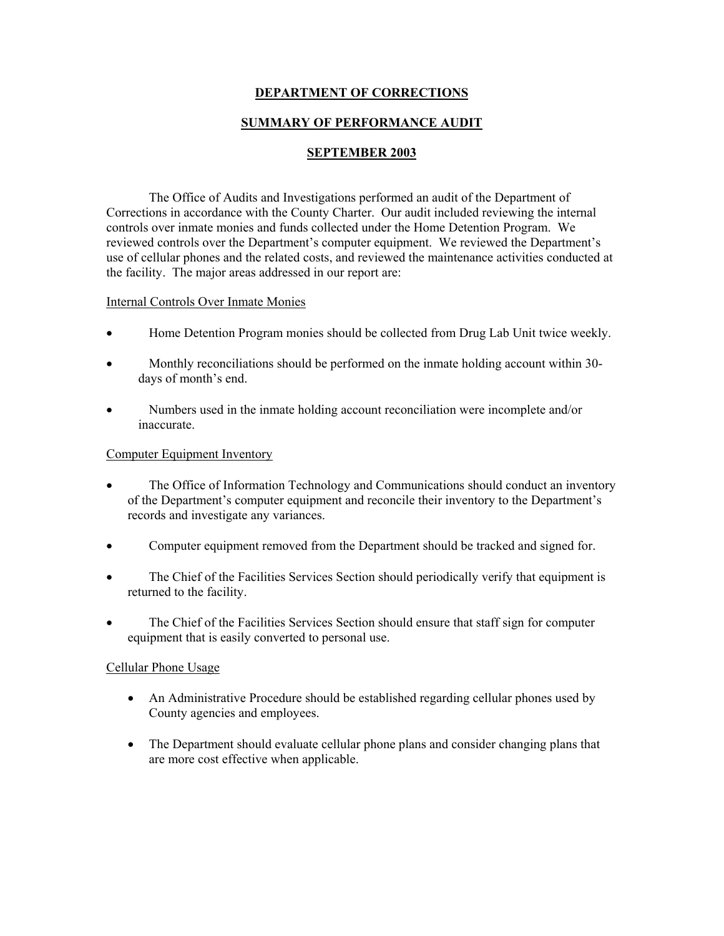## **DEPARTMENT OF CORRECTIONS**

#### **SUMMARY OF PERFORMANCE AUDIT**

#### **SEPTEMBER 2003**

 The Office of Audits and Investigations performed an audit of the Department of Corrections in accordance with the County Charter. Our audit included reviewing the internal controls over inmate monies and funds collected under the Home Detention Program. We reviewed controls over the Department's computer equipment. We reviewed the Department's use of cellular phones and the related costs, and reviewed the maintenance activities conducted at the facility. The major areas addressed in our report are:

#### Internal Controls Over Inmate Monies

- Home Detention Program monies should be collected from Drug Lab Unit twice weekly.
- Monthly reconciliations should be performed on the inmate holding account within 30 days of month's end.
- Numbers used in the inmate holding account reconciliation were incomplete and/or inaccurate.

#### Computer Equipment Inventory

- The Office of Information Technology and Communications should conduct an inventory of the Department's computer equipment and reconcile their inventory to the Department's records and investigate any variances.
- Computer equipment removed from the Department should be tracked and signed for.
- The Chief of the Facilities Services Section should periodically verify that equipment is returned to the facility.
- The Chief of the Facilities Services Section should ensure that staff sign for computer equipment that is easily converted to personal use.

#### Cellular Phone Usage

- An Administrative Procedure should be established regarding cellular phones used by County agencies and employees.
- The Department should evaluate cellular phone plans and consider changing plans that are more cost effective when applicable.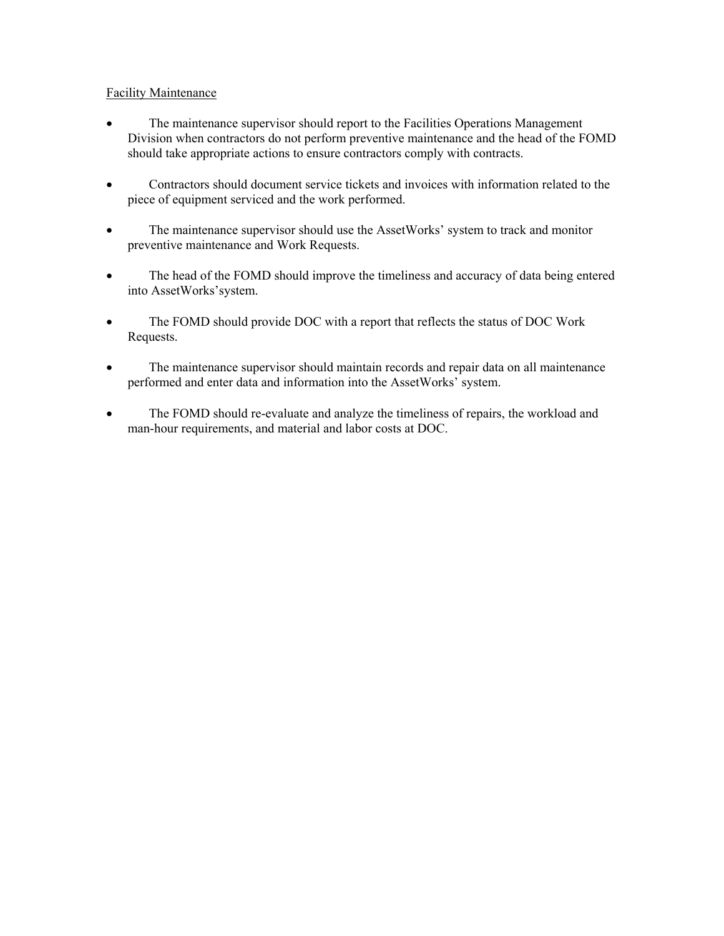## Facility Maintenance

- The maintenance supervisor should report to the Facilities Operations Management Division when contractors do not perform preventive maintenance and the head of the FOMD should take appropriate actions to ensure contractors comply with contracts.
- Contractors should document service tickets and invoices with information related to the piece of equipment serviced and the work performed.
- The maintenance supervisor should use the AssetWorks' system to track and monitor preventive maintenance and Work Requests.
- The head of the FOMD should improve the timeliness and accuracy of data being entered into AssetWorks'system.
- The FOMD should provide DOC with a report that reflects the status of DOC Work Requests.
- The maintenance supervisor should maintain records and repair data on all maintenance performed and enter data and information into the AssetWorks' system.
- The FOMD should re-evaluate and analyze the timeliness of repairs, the workload and man-hour requirements, and material and labor costs at DOC.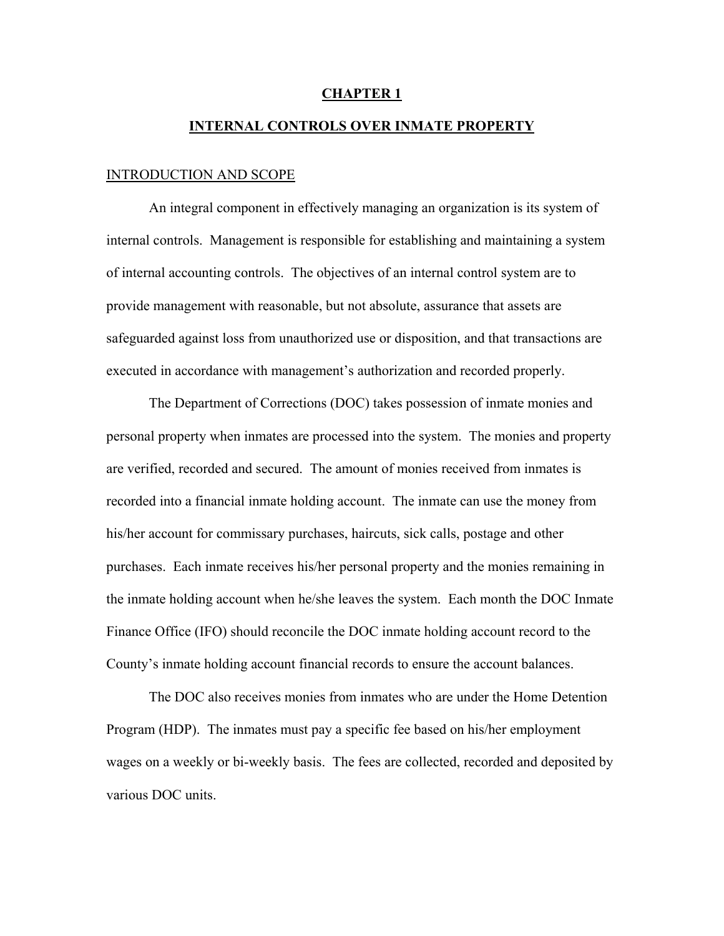#### **CHAPTER 1**

## **INTERNAL CONTROLS OVER INMATE PROPERTY**

#### INTRODUCTION AND SCOPE

An integral component in effectively managing an organization is its system of internal controls. Management is responsible for establishing and maintaining a system of internal accounting controls. The objectives of an internal control system are to provide management with reasonable, but not absolute, assurance that assets are safeguarded against loss from unauthorized use or disposition, and that transactions are executed in accordance with management's authorization and recorded properly.

The Department of Corrections (DOC) takes possession of inmate monies and personal property when inmates are processed into the system. The monies and property are verified, recorded and secured. The amount of monies received from inmates is recorded into a financial inmate holding account. The inmate can use the money from his/her account for commissary purchases, haircuts, sick calls, postage and other purchases. Each inmate receives his/her personal property and the monies remaining in the inmate holding account when he/she leaves the system. Each month the DOC Inmate Finance Office (IFO) should reconcile the DOC inmate holding account record to the County's inmate holding account financial records to ensure the account balances.

The DOC also receives monies from inmates who are under the Home Detention Program (HDP). The inmates must pay a specific fee based on his/her employment wages on a weekly or bi-weekly basis. The fees are collected, recorded and deposited by various DOC units.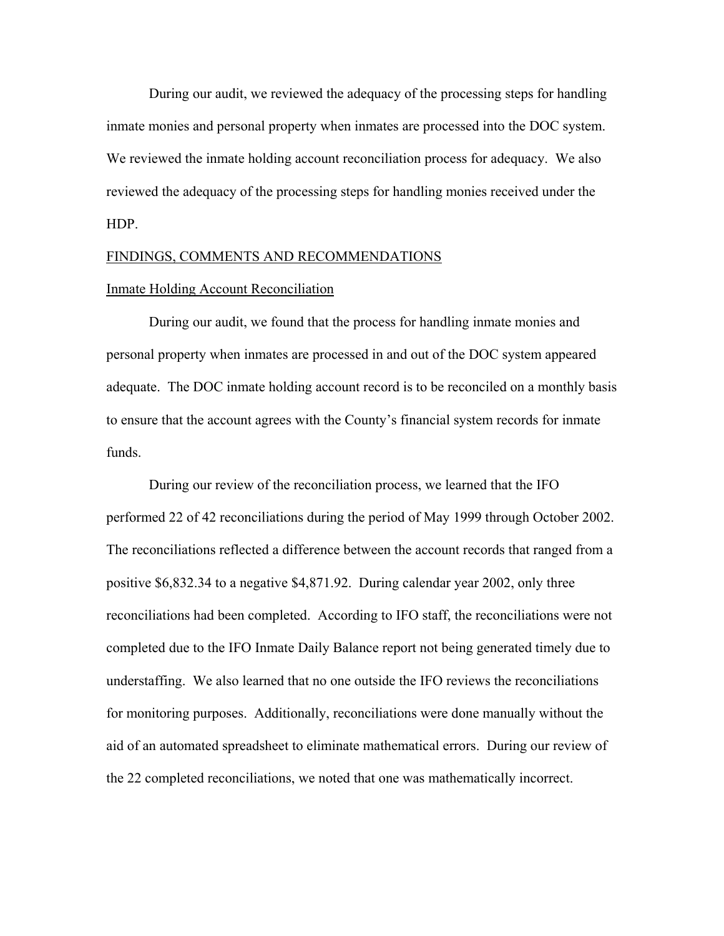During our audit, we reviewed the adequacy of the processing steps for handling inmate monies and personal property when inmates are processed into the DOC system. We reviewed the inmate holding account reconciliation process for adequacy. We also reviewed the adequacy of the processing steps for handling monies received under the HDP.

#### FINDINGS, COMMENTS AND RECOMMENDATIONS

#### Inmate Holding Account Reconciliation

 During our audit, we found that the process for handling inmate monies and personal property when inmates are processed in and out of the DOC system appeared adequate. The DOC inmate holding account record is to be reconciled on a monthly basis to ensure that the account agrees with the County's financial system records for inmate funds.

 During our review of the reconciliation process, we learned that the IFO performed 22 of 42 reconciliations during the period of May 1999 through October 2002. The reconciliations reflected a difference between the account records that ranged from a positive \$6,832.34 to a negative \$4,871.92. During calendar year 2002, only three reconciliations had been completed. According to IFO staff, the reconciliations were not completed due to the IFO Inmate Daily Balance report not being generated timely due to understaffing. We also learned that no one outside the IFO reviews the reconciliations for monitoring purposes. Additionally, reconciliations were done manually without the aid of an automated spreadsheet to eliminate mathematical errors. During our review of the 22 completed reconciliations, we noted that one was mathematically incorrect.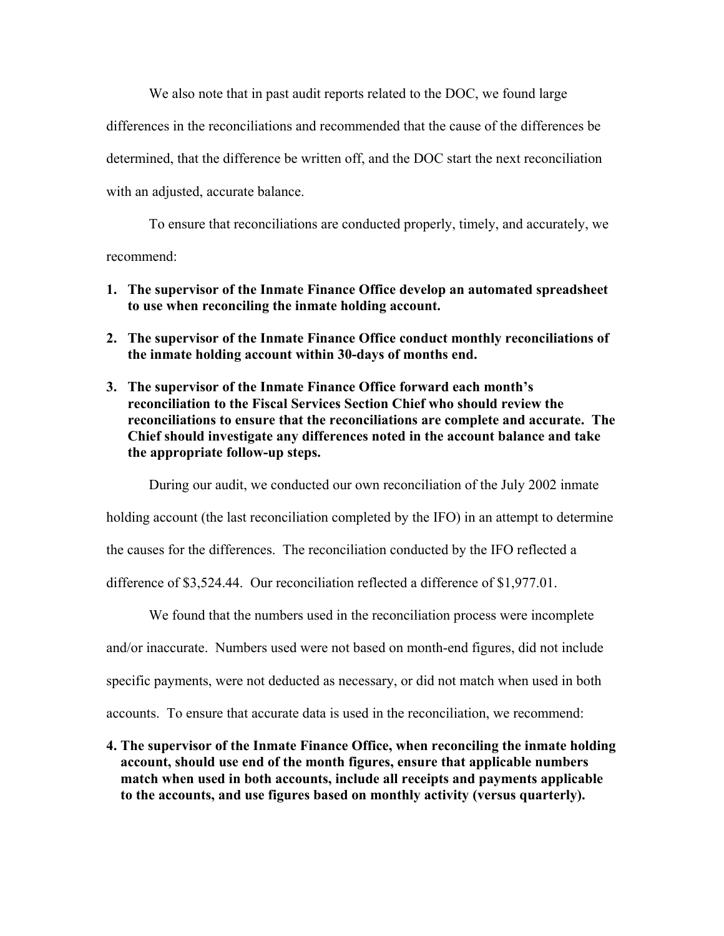We also note that in past audit reports related to the DOC, we found large differences in the reconciliations and recommended that the cause of the differences be determined, that the difference be written off, and the DOC start the next reconciliation with an adjusted, accurate balance.

 To ensure that reconciliations are conducted properly, timely, and accurately, we recommend:

- **1. The supervisor of the Inmate Finance Office develop an automated spreadsheet to use when reconciling the inmate holding account.**
- **2. The supervisor of the Inmate Finance Office conduct monthly reconciliations of the inmate holding account within 30-days of months end.**
- **3. The supervisor of the Inmate Finance Office forward each month's reconciliation to the Fiscal Services Section Chief who should review the reconciliations to ensure that the reconciliations are complete and accurate. The Chief should investigate any differences noted in the account balance and take the appropriate follow-up steps.**

During our audit, we conducted our own reconciliation of the July 2002 inmate

holding account (the last reconciliation completed by the IFO) in an attempt to determine

the causes for the differences. The reconciliation conducted by the IFO reflected a

difference of \$3,524.44. Our reconciliation reflected a difference of \$1,977.01.

We found that the numbers used in the reconciliation process were incomplete

and/or inaccurate. Numbers used were not based on month-end figures, did not include

specific payments, were not deducted as necessary, or did not match when used in both

accounts. To ensure that accurate data is used in the reconciliation, we recommend:

**4. The supervisor of the Inmate Finance Office, when reconciling the inmate holding account, should use end of the month figures, ensure that applicable numbers match when used in both accounts, include all receipts and payments applicable to the accounts, and use figures based on monthly activity (versus quarterly).**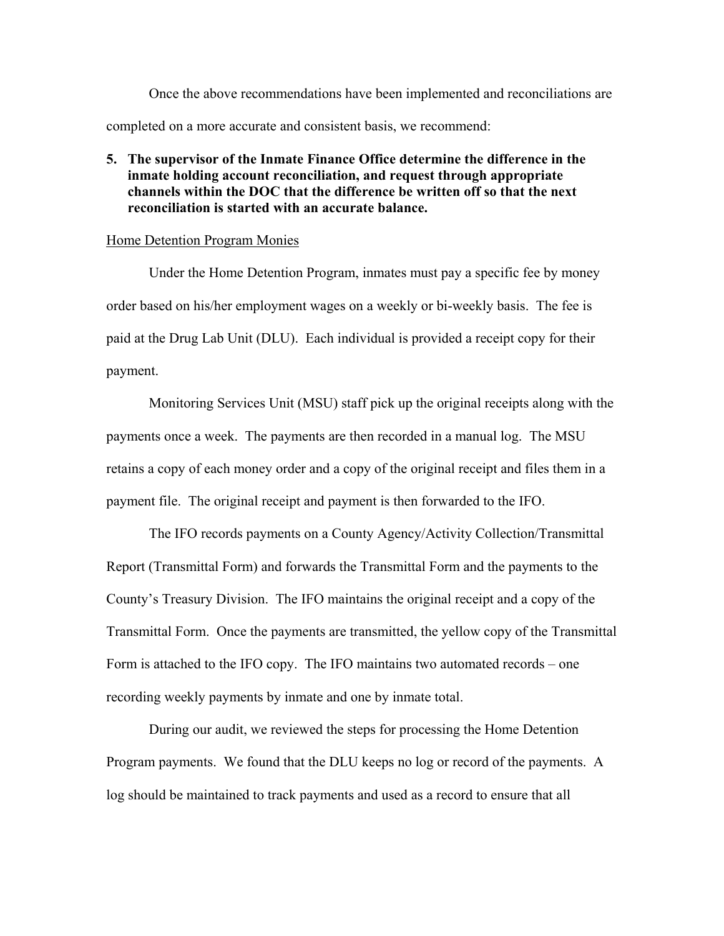Once the above recommendations have been implemented and reconciliations are completed on a more accurate and consistent basis, we recommend:

## **5. The supervisor of the Inmate Finance Office determine the difference in the inmate holding account reconciliation, and request through appropriate channels within the DOC that the difference be written off so that the next reconciliation is started with an accurate balance.**

#### Home Detention Program Monies

 Under the Home Detention Program, inmates must pay a specific fee by money order based on his/her employment wages on a weekly or bi-weekly basis. The fee is paid at the Drug Lab Unit (DLU). Each individual is provided a receipt copy for their payment.

 Monitoring Services Unit (MSU) staff pick up the original receipts along with the payments once a week. The payments are then recorded in a manual log. The MSU retains a copy of each money order and a copy of the original receipt and files them in a payment file. The original receipt and payment is then forwarded to the IFO.

The IFO records payments on a County Agency/Activity Collection/Transmittal Report (Transmittal Form) and forwards the Transmittal Form and the payments to the County's Treasury Division. The IFO maintains the original receipt and a copy of the Transmittal Form. Once the payments are transmitted, the yellow copy of the Transmittal Form is attached to the IFO copy. The IFO maintains two automated records – one recording weekly payments by inmate and one by inmate total.

During our audit, we reviewed the steps for processing the Home Detention Program payments. We found that the DLU keeps no log or record of the payments. A log should be maintained to track payments and used as a record to ensure that all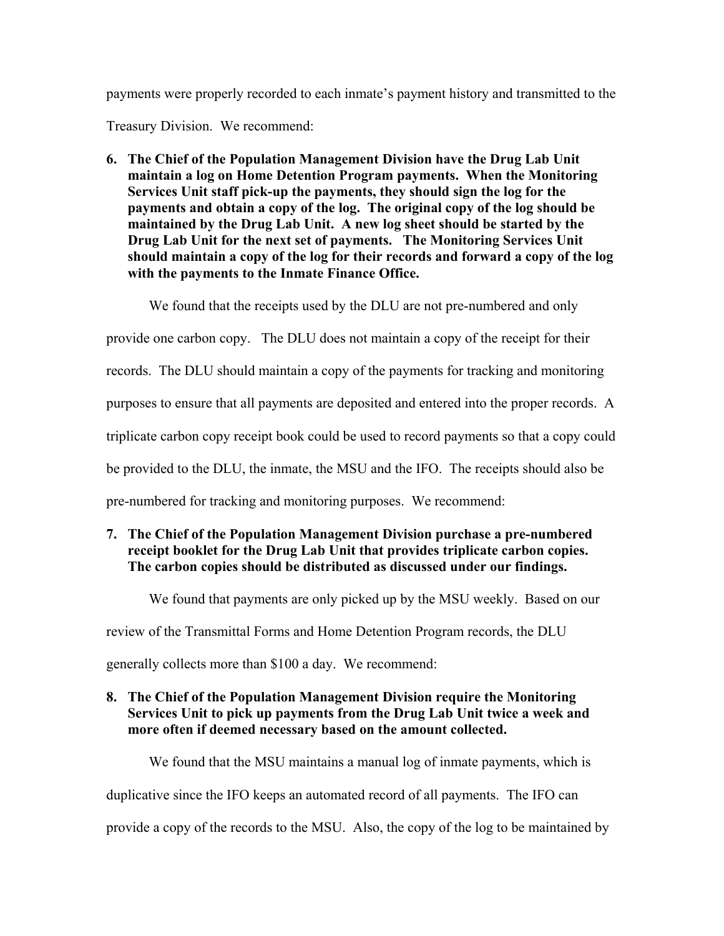payments were properly recorded to each inmate's payment history and transmitted to the

Treasury Division. We recommend:

**6. The Chief of the Population Management Division have the Drug Lab Unit maintain a log on Home Detention Program payments. When the Monitoring Services Unit staff pick-up the payments, they should sign the log for the payments and obtain a copy of the log. The original copy of the log should be maintained by the Drug Lab Unit. A new log sheet should be started by the Drug Lab Unit for the next set of payments. The Monitoring Services Unit should maintain a copy of the log for their records and forward a copy of the log with the payments to the Inmate Finance Office.** 

We found that the receipts used by the DLU are not pre-numbered and only

provide one carbon copy. The DLU does not maintain a copy of the receipt for their

records. The DLU should maintain a copy of the payments for tracking and monitoring

purposes to ensure that all payments are deposited and entered into the proper records. A

triplicate carbon copy receipt book could be used to record payments so that a copy could

be provided to the DLU, the inmate, the MSU and the IFO. The receipts should also be

pre-numbered for tracking and monitoring purposes. We recommend:

## **7. The Chief of the Population Management Division purchase a pre-numbered receipt booklet for the Drug Lab Unit that provides triplicate carbon copies. The carbon copies should be distributed as discussed under our findings.**

We found that payments are only picked up by the MSU weekly. Based on our

review of the Transmittal Forms and Home Detention Program records, the DLU

generally collects more than \$100 a day. We recommend:

## **8. The Chief of the Population Management Division require the Monitoring Services Unit to pick up payments from the Drug Lab Unit twice a week and more often if deemed necessary based on the amount collected.**

We found that the MSU maintains a manual log of inmate payments, which is duplicative since the IFO keeps an automated record of all payments. The IFO can provide a copy of the records to the MSU. Also, the copy of the log to be maintained by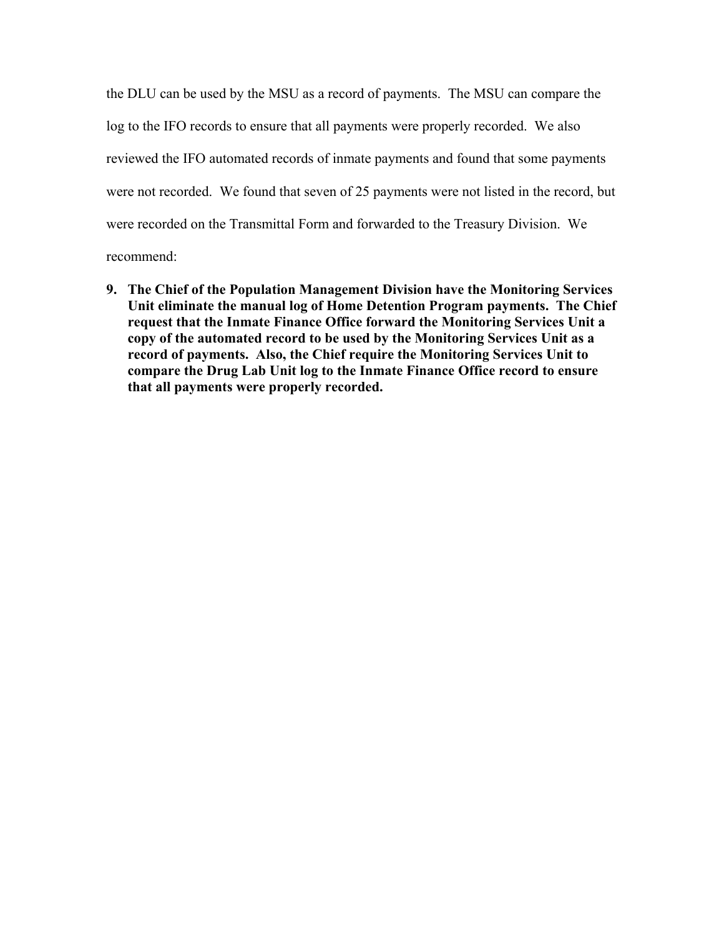the DLU can be used by the MSU as a record of payments. The MSU can compare the log to the IFO records to ensure that all payments were properly recorded. We also reviewed the IFO automated records of inmate payments and found that some payments were not recorded. We found that seven of 25 payments were not listed in the record, but were recorded on the Transmittal Form and forwarded to the Treasury Division. We recommend:

**9. The Chief of the Population Management Division have the Monitoring Services Unit eliminate the manual log of Home Detention Program payments. The Chief request that the Inmate Finance Office forward the Monitoring Services Unit a copy of the automated record to be used by the Monitoring Services Unit as a record of payments. Also, the Chief require the Monitoring Services Unit to compare the Drug Lab Unit log to the Inmate Finance Office record to ensure that all payments were properly recorded.**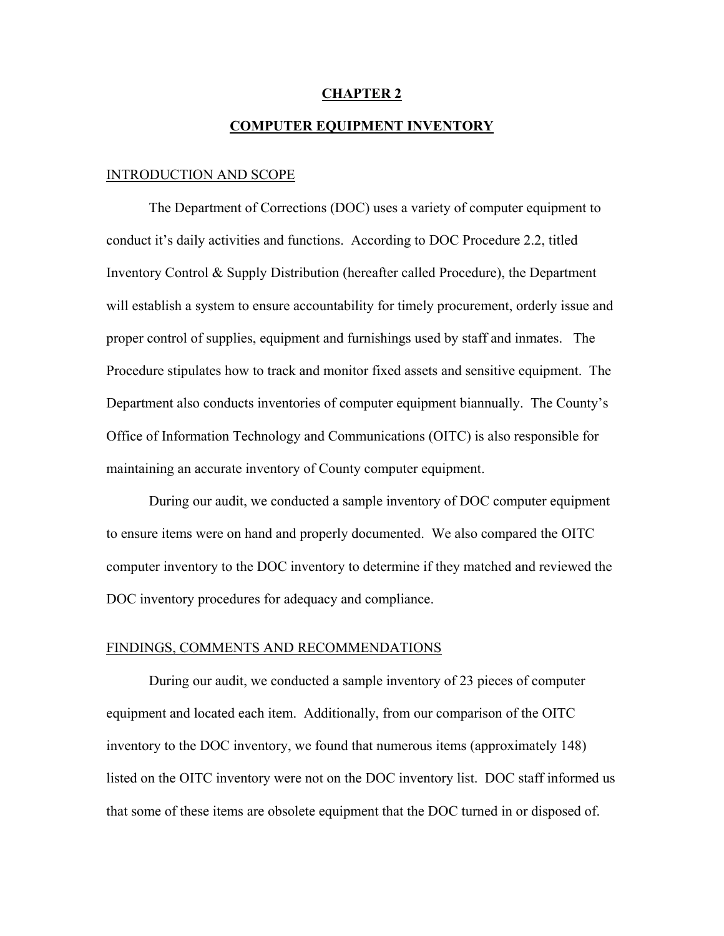# **CHAPTER 2**

## **COMPUTER EQUIPMENT INVENTORY**

#### INTRODUCTION AND SCOPE

 The Department of Corrections (DOC) uses a variety of computer equipment to conduct it's daily activities and functions. According to DOC Procedure 2.2, titled Inventory Control & Supply Distribution (hereafter called Procedure), the Department will establish a system to ensure accountability for timely procurement, orderly issue and proper control of supplies, equipment and furnishings used by staff and inmates. The Procedure stipulates how to track and monitor fixed assets and sensitive equipment. The Department also conducts inventories of computer equipment biannually. The County's Office of Information Technology and Communications (OITC) is also responsible for maintaining an accurate inventory of County computer equipment.

 During our audit, we conducted a sample inventory of DOC computer equipment to ensure items were on hand and properly documented. We also compared the OITC computer inventory to the DOC inventory to determine if they matched and reviewed the DOC inventory procedures for adequacy and compliance.

#### FINDINGS, COMMENTS AND RECOMMENDATIONS

 During our audit, we conducted a sample inventory of 23 pieces of computer equipment and located each item. Additionally, from our comparison of the OITC inventory to the DOC inventory, we found that numerous items (approximately 148) listed on the OITC inventory were not on the DOC inventory list. DOC staff informed us that some of these items are obsolete equipment that the DOC turned in or disposed of.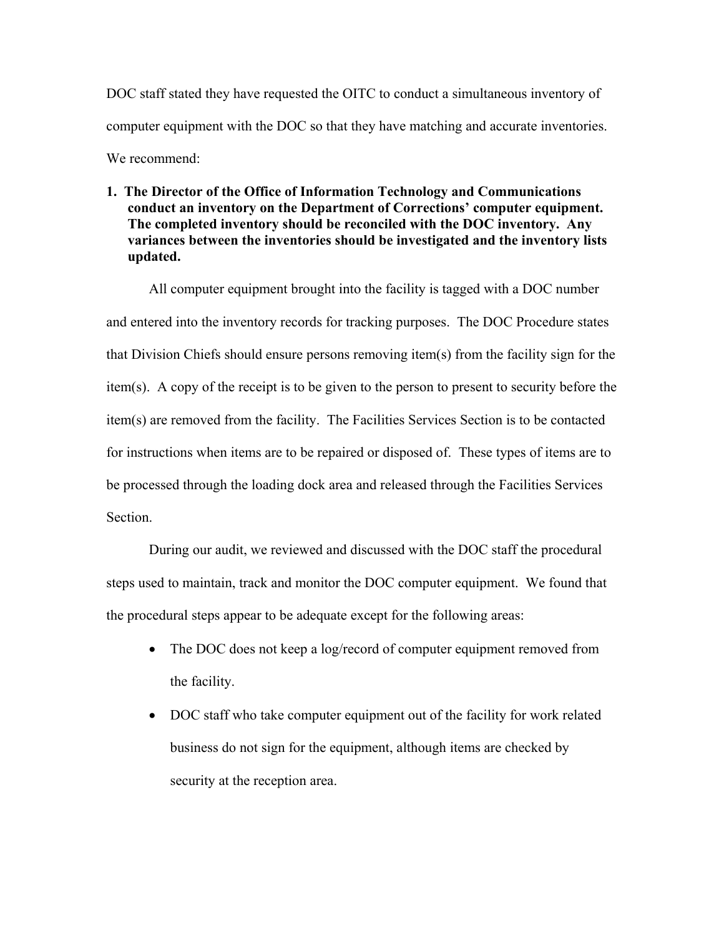DOC staff stated they have requested the OITC to conduct a simultaneous inventory of computer equipment with the DOC so that they have matching and accurate inventories. We recommend<sup>.</sup>

**1. The Director of the Office of Information Technology and Communications conduct an inventory on the Department of Corrections' computer equipment. The completed inventory should be reconciled with the DOC inventory. Any variances between the inventories should be investigated and the inventory lists updated.** 

 All computer equipment brought into the facility is tagged with a DOC number and entered into the inventory records for tracking purposes. The DOC Procedure states that Division Chiefs should ensure persons removing item(s) from the facility sign for the item(s). A copy of the receipt is to be given to the person to present to security before the item(s) are removed from the facility. The Facilities Services Section is to be contacted for instructions when items are to be repaired or disposed of. These types of items are to be processed through the loading dock area and released through the Facilities Services Section.

During our audit, we reviewed and discussed with the DOC staff the procedural steps used to maintain, track and monitor the DOC computer equipment. We found that the procedural steps appear to be adequate except for the following areas:

- The DOC does not keep a log/record of computer equipment removed from the facility.
- DOC staff who take computer equipment out of the facility for work related business do not sign for the equipment, although items are checked by security at the reception area.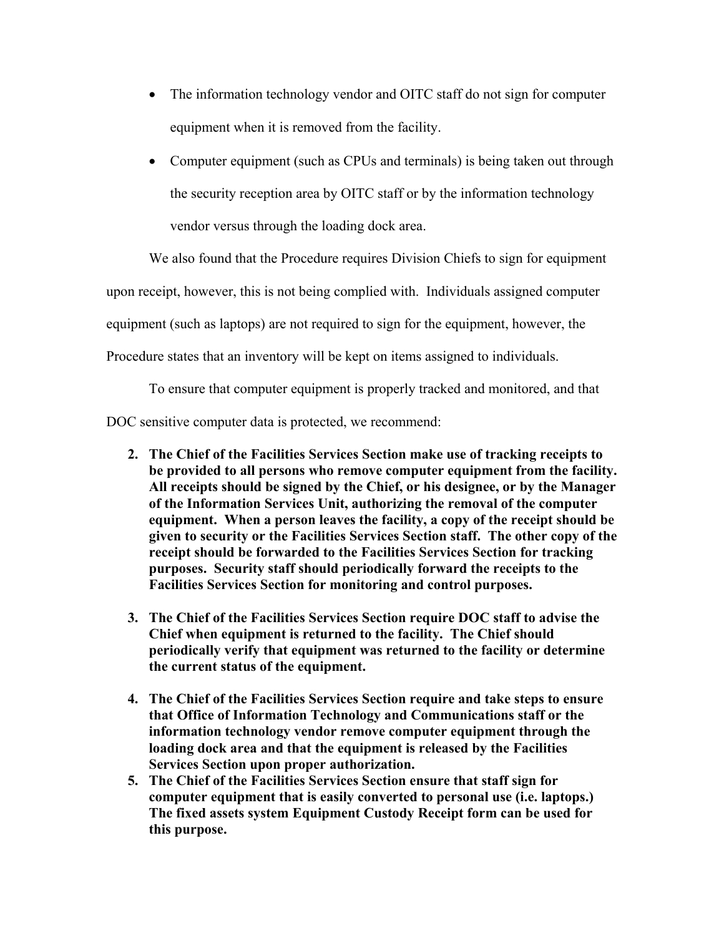- The information technology vendor and OITC staff do not sign for computer equipment when it is removed from the facility.
- Computer equipment (such as CPUs and terminals) is being taken out through the security reception area by OITC staff or by the information technology vendor versus through the loading dock area.

 We also found that the Procedure requires Division Chiefs to sign for equipment upon receipt, however, this is not being complied with. Individuals assigned computer

equipment (such as laptops) are not required to sign for the equipment, however, the

Procedure states that an inventory will be kept on items assigned to individuals.

To ensure that computer equipment is properly tracked and monitored, and that

DOC sensitive computer data is protected, we recommend:

- **2. The Chief of the Facilities Services Section make use of tracking receipts to be provided to all persons who remove computer equipment from the facility. All receipts should be signed by the Chief, or his designee, or by the Manager of the Information Services Unit, authorizing the removal of the computer equipment. When a person leaves the facility, a copy of the receipt should be given to security or the Facilities Services Section staff. The other copy of the receipt should be forwarded to the Facilities Services Section for tracking purposes. Security staff should periodically forward the receipts to the Facilities Services Section for monitoring and control purposes.**
- **3. The Chief of the Facilities Services Section require DOC staff to advise the Chief when equipment is returned to the facility. The Chief should periodically verify that equipment was returned to the facility or determine the current status of the equipment.**
- **4. The Chief of the Facilities Services Section require and take steps to ensure that Office of Information Technology and Communications staff or the information technology vendor remove computer equipment through the loading dock area and that the equipment is released by the Facilities Services Section upon proper authorization.**
- **5. The Chief of the Facilities Services Section ensure that staff sign for computer equipment that is easily converted to personal use (i.e. laptops.) The fixed assets system Equipment Custody Receipt form can be used for this purpose.**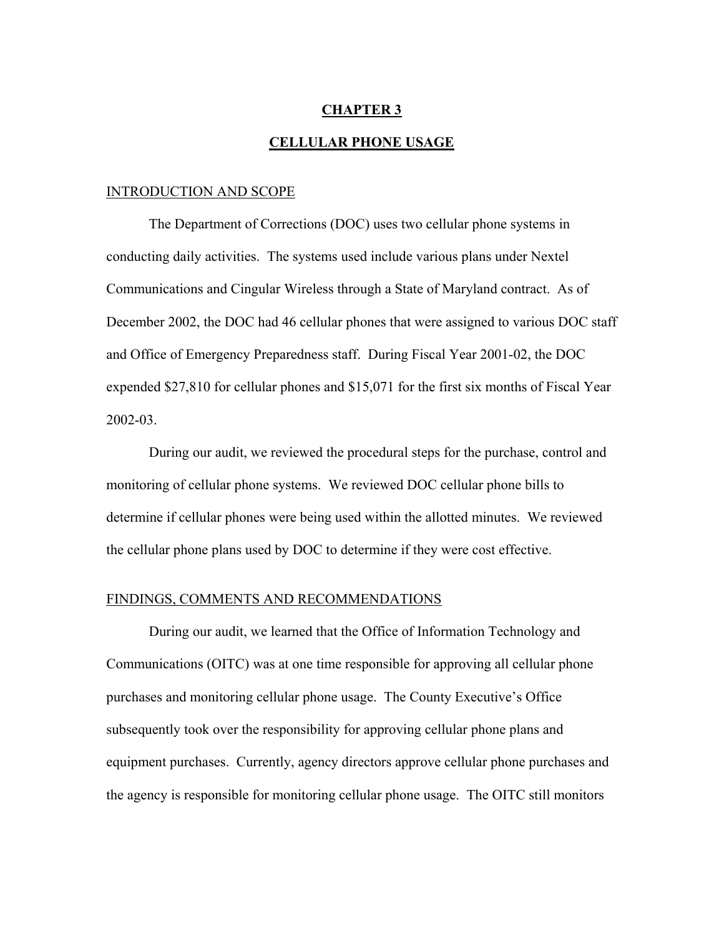#### **CHAPTER 3**

#### **CELLULAR PHONE USAGE**

#### INTRODUCTION AND SCOPE

 The Department of Corrections (DOC) uses two cellular phone systems in conducting daily activities. The systems used include various plans under Nextel Communications and Cingular Wireless through a State of Maryland contract. As of December 2002, the DOC had 46 cellular phones that were assigned to various DOC staff and Office of Emergency Preparedness staff. During Fiscal Year 2001-02, the DOC expended \$27,810 for cellular phones and \$15,071 for the first six months of Fiscal Year 2002-03.

 During our audit, we reviewed the procedural steps for the purchase, control and monitoring of cellular phone systems. We reviewed DOC cellular phone bills to determine if cellular phones were being used within the allotted minutes. We reviewed the cellular phone plans used by DOC to determine if they were cost effective.

#### FINDINGS, COMMENTS AND RECOMMENDATIONS

 During our audit, we learned that the Office of Information Technology and Communications (OITC) was at one time responsible for approving all cellular phone purchases and monitoring cellular phone usage. The County Executive's Office subsequently took over the responsibility for approving cellular phone plans and equipment purchases. Currently, agency directors approve cellular phone purchases and the agency is responsible for monitoring cellular phone usage. The OITC still monitors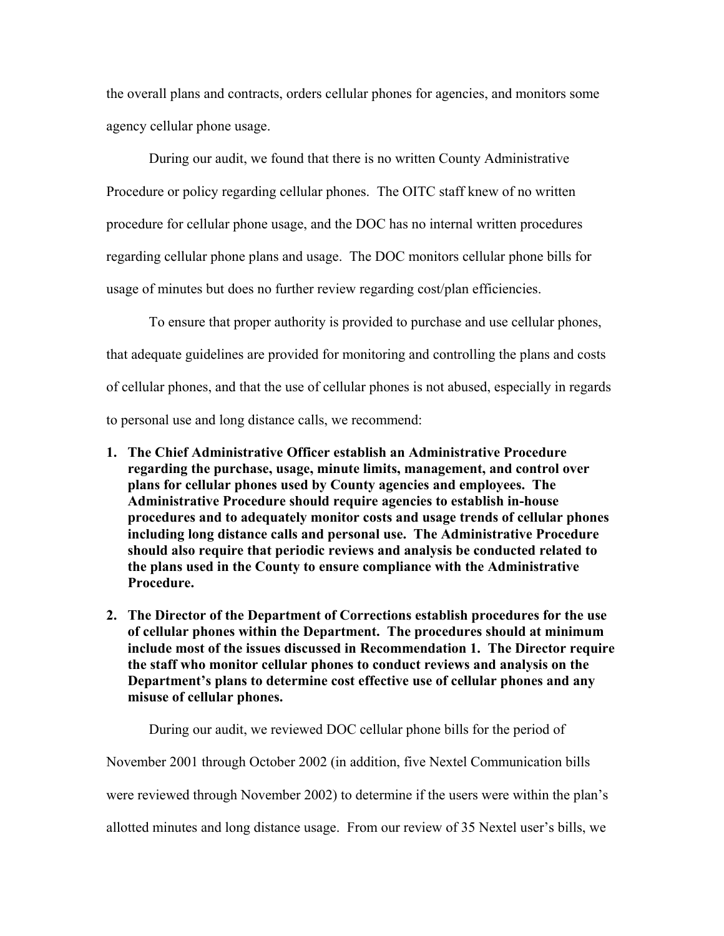the overall plans and contracts, orders cellular phones for agencies, and monitors some agency cellular phone usage.

During our audit, we found that there is no written County Administrative Procedure or policy regarding cellular phones. The OITC staff knew of no written procedure for cellular phone usage, and the DOC has no internal written procedures regarding cellular phone plans and usage. The DOC monitors cellular phone bills for usage of minutes but does no further review regarding cost/plan efficiencies.

To ensure that proper authority is provided to purchase and use cellular phones, that adequate guidelines are provided for monitoring and controlling the plans and costs of cellular phones, and that the use of cellular phones is not abused, especially in regards to personal use and long distance calls, we recommend:

- **1. The Chief Administrative Officer establish an Administrative Procedure regarding the purchase, usage, minute limits, management, and control over plans for cellular phones used by County agencies and employees. The Administrative Procedure should require agencies to establish in-house procedures and to adequately monitor costs and usage trends of cellular phones including long distance calls and personal use. The Administrative Procedure should also require that periodic reviews and analysis be conducted related to the plans used in the County to ensure compliance with the Administrative Procedure.**
- **2. The Director of the Department of Corrections establish procedures for the use of cellular phones within the Department. The procedures should at minimum include most of the issues discussed in Recommendation 1. The Director require the staff who monitor cellular phones to conduct reviews and analysis on the Department's plans to determine cost effective use of cellular phones and any misuse of cellular phones.**

During our audit, we reviewed DOC cellular phone bills for the period of

November 2001 through October 2002 (in addition, five Nextel Communication bills

were reviewed through November 2002) to determine if the users were within the plan's

allotted minutes and long distance usage. From our review of 35 Nextel user's bills, we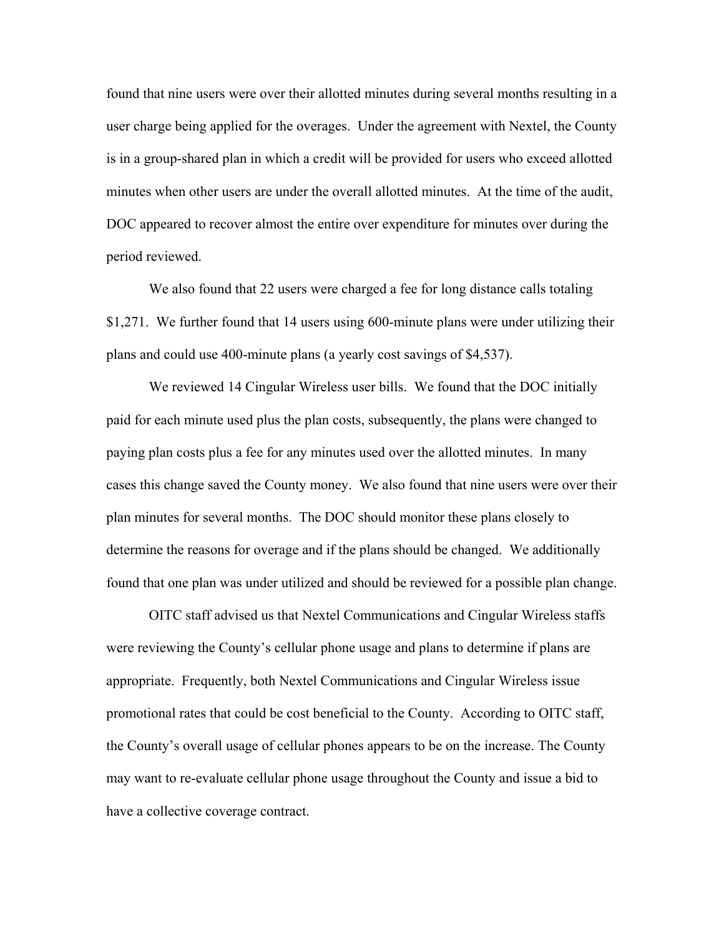found that nine users were over their allotted minutes during several months resulting in a user charge being applied for the overages. Under the agreement with Nextel, the County is in a group-shared plan in which a credit will be provided for users who exceed allotted minutes when other users are under the overall allotted minutes. At the time of the audit, DOC appeared to recover almost the entire over expenditure for minutes over during the period reviewed.

We also found that 22 users were charged a fee for long distance calls totaling \$1,271. We further found that 14 users using 600-minute plans were under utilizing their plans and could use 400-minute plans (a yearly cost savings of \$4,537).

 We reviewed 14 Cingular Wireless user bills. We found that the DOC initially paid for each minute used plus the plan costs, subsequently, the plans were changed to paying plan costs plus a fee for any minutes used over the allotted minutes. In many cases this change saved the County money. We also found that nine users were over their plan minutes for several months. The DOC should monitor these plans closely to determine the reasons for overage and if the plans should be changed. We additionally found that one plan was under utilized and should be reviewed for a possible plan change.

OITC staff advised us that Nextel Communications and Cingular Wireless staffs were reviewing the County's cellular phone usage and plans to determine if plans are appropriate. Frequently, both Nextel Communications and Cingular Wireless issue promotional rates that could be cost beneficial to the County. According to OITC staff, the County's overall usage of cellular phones appears to be on the increase. The County may want to re-evaluate cellular phone usage throughout the County and issue a bid to have a collective coverage contract.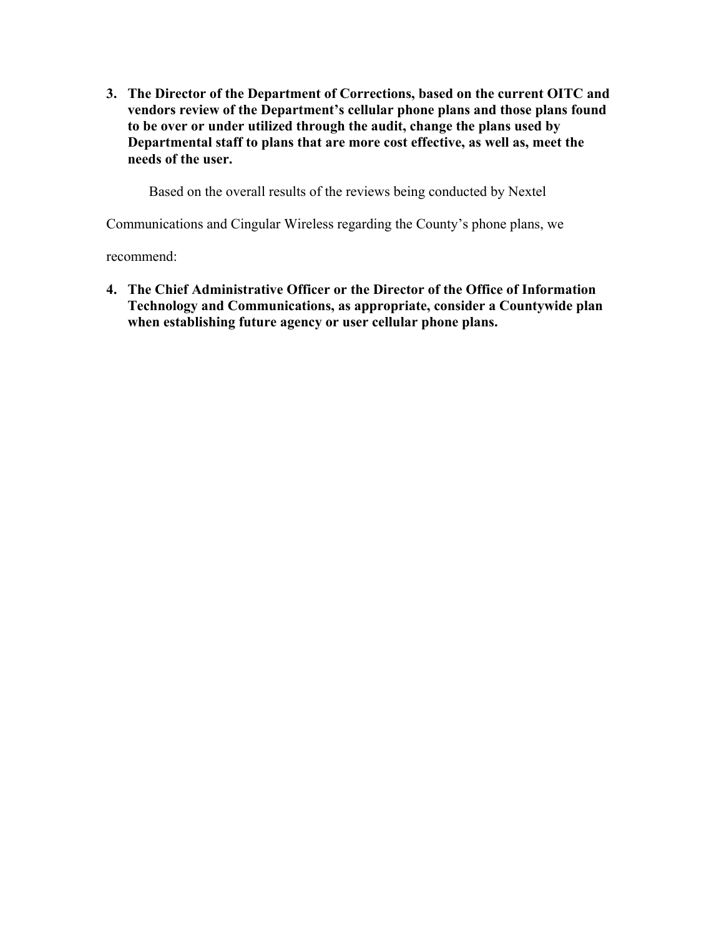**3. The Director of the Department of Corrections, based on the current OITC and vendors review of the Department's cellular phone plans and those plans found to be over or under utilized through the audit, change the plans used by Departmental staff to plans that are more cost effective, as well as, meet the needs of the user.** 

Based on the overall results of the reviews being conducted by Nextel

Communications and Cingular Wireless regarding the County's phone plans, we

recommend:

**4. The Chief Administrative Officer or the Director of the Office of Information Technology and Communications, as appropriate, consider a Countywide plan when establishing future agency or user cellular phone plans.**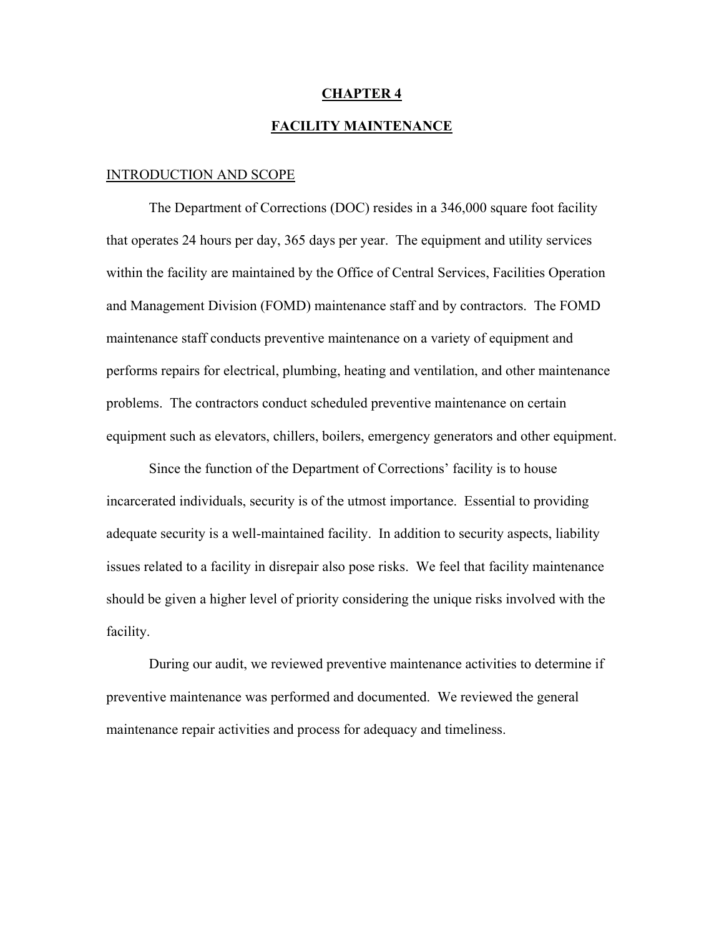## **CHAPTER 4 FACILITY MAINTENANCE**

#### INTRODUCTION AND SCOPE

 The Department of Corrections (DOC) resides in a 346,000 square foot facility that operates 24 hours per day, 365 days per year. The equipment and utility services within the facility are maintained by the Office of Central Services, Facilities Operation and Management Division (FOMD) maintenance staff and by contractors. The FOMD maintenance staff conducts preventive maintenance on a variety of equipment and performs repairs for electrical, plumbing, heating and ventilation, and other maintenance problems. The contractors conduct scheduled preventive maintenance on certain equipment such as elevators, chillers, boilers, emergency generators and other equipment.

Since the function of the Department of Corrections' facility is to house incarcerated individuals, security is of the utmost importance. Essential to providing adequate security is a well-maintained facility. In addition to security aspects, liability issues related to a facility in disrepair also pose risks. We feel that facility maintenance should be given a higher level of priority considering the unique risks involved with the facility.

During our audit, we reviewed preventive maintenance activities to determine if preventive maintenance was performed and documented. We reviewed the general maintenance repair activities and process for adequacy and timeliness.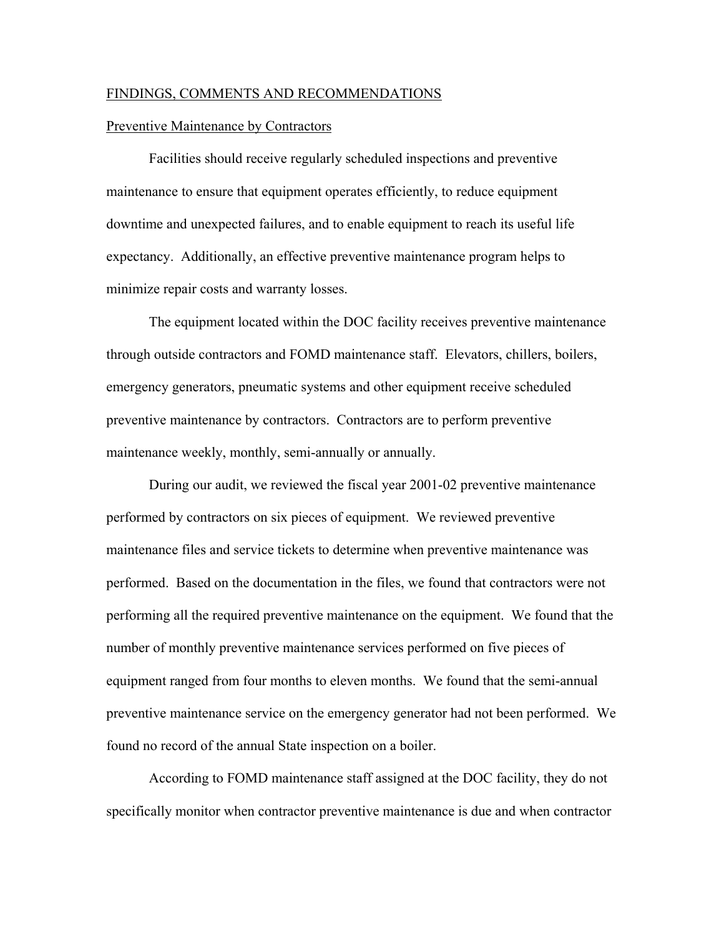#### FINDINGS, COMMENTS AND RECOMMENDATIONS

#### Preventive Maintenance by Contractors

 Facilities should receive regularly scheduled inspections and preventive maintenance to ensure that equipment operates efficiently, to reduce equipment downtime and unexpected failures, and to enable equipment to reach its useful life expectancy. Additionally, an effective preventive maintenance program helps to minimize repair costs and warranty losses.

The equipment located within the DOC facility receives preventive maintenance through outside contractors and FOMD maintenance staff. Elevators, chillers, boilers, emergency generators, pneumatic systems and other equipment receive scheduled preventive maintenance by contractors. Contractors are to perform preventive maintenance weekly, monthly, semi-annually or annually.

During our audit, we reviewed the fiscal year 2001-02 preventive maintenance performed by contractors on six pieces of equipment. We reviewed preventive maintenance files and service tickets to determine when preventive maintenance was performed. Based on the documentation in the files, we found that contractors were not performing all the required preventive maintenance on the equipment. We found that the number of monthly preventive maintenance services performed on five pieces of equipment ranged from four months to eleven months. We found that the semi-annual preventive maintenance service on the emergency generator had not been performed. We found no record of the annual State inspection on a boiler.

According to FOMD maintenance staff assigned at the DOC facility, they do not specifically monitor when contractor preventive maintenance is due and when contractor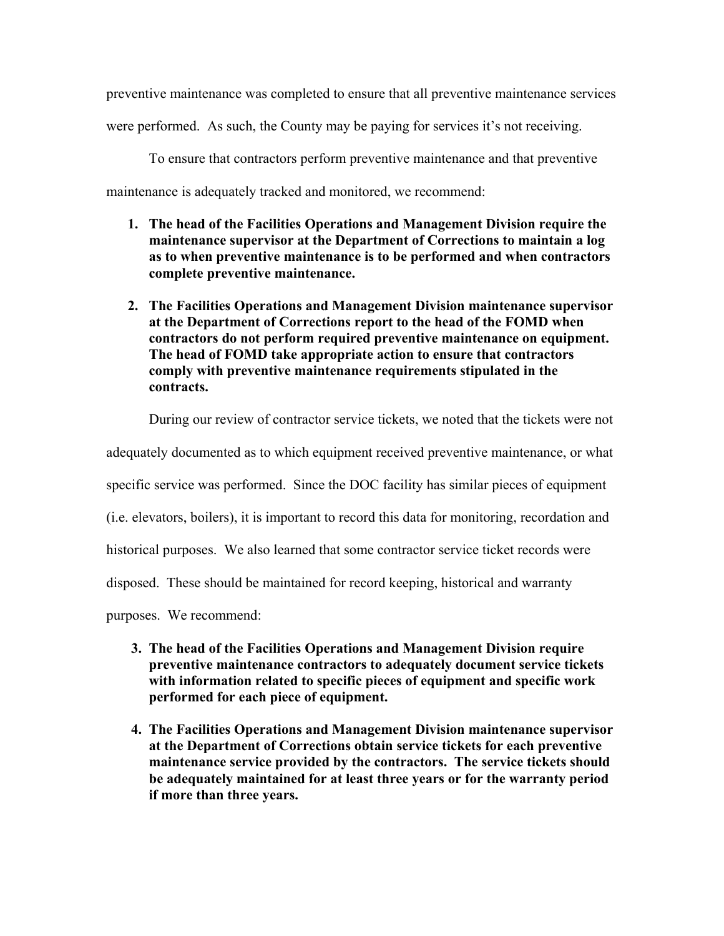preventive maintenance was completed to ensure that all preventive maintenance services

were performed. As such, the County may be paying for services it's not receiving.

To ensure that contractors perform preventive maintenance and that preventive

maintenance is adequately tracked and monitored, we recommend:

- **1. The head of the Facilities Operations and Management Division require the maintenance supervisor at the Department of Corrections to maintain a log as to when preventive maintenance is to be performed and when contractors complete preventive maintenance.**
- **2. The Facilities Operations and Management Division maintenance supervisor at the Department of Corrections report to the head of the FOMD when contractors do not perform required preventive maintenance on equipment. The head of FOMD take appropriate action to ensure that contractors comply with preventive maintenance requirements stipulated in the contracts.**

During our review of contractor service tickets, we noted that the tickets were not

adequately documented as to which equipment received preventive maintenance, or what

specific service was performed. Since the DOC facility has similar pieces of equipment

(i.e. elevators, boilers), it is important to record this data for monitoring, recordation and

historical purposes. We also learned that some contractor service ticket records were

disposed. These should be maintained for record keeping, historical and warranty

purposes. We recommend:

- **3. The head of the Facilities Operations and Management Division require preventive maintenance contractors to adequately document service tickets with information related to specific pieces of equipment and specific work performed for each piece of equipment.**
- **4. The Facilities Operations and Management Division maintenance supervisor at the Department of Corrections obtain service tickets for each preventive maintenance service provided by the contractors. The service tickets should be adequately maintained for at least three years or for the warranty period if more than three years.**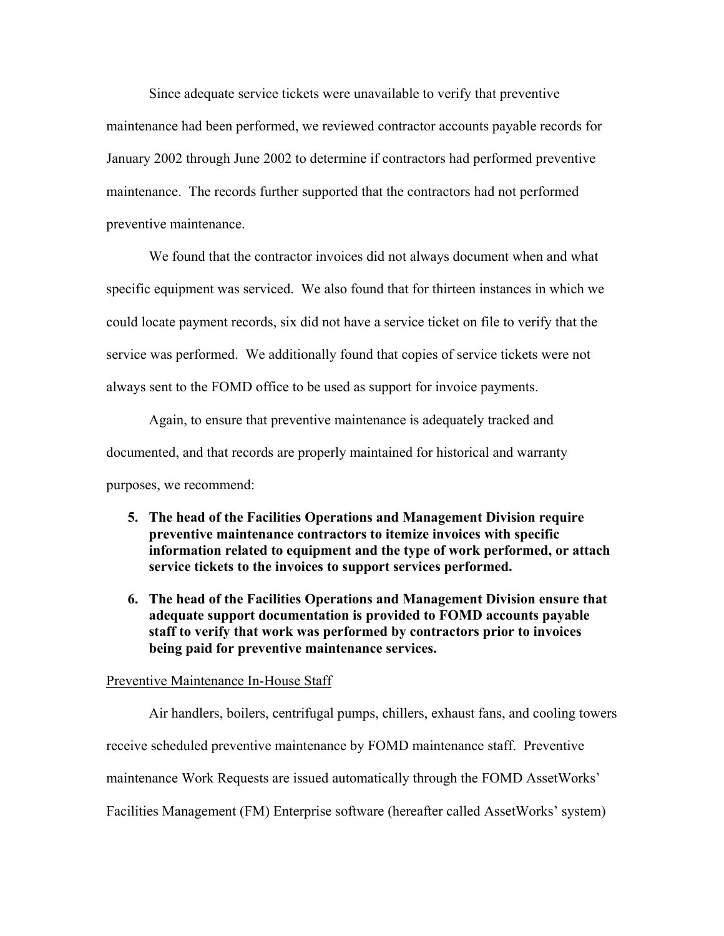Since adequate service tickets were unavailable to verify that preventive maintenance had been performed, we reviewed contractor accounts payable records for January 2002 through June 2002 to determine if contractors had performed preventive maintenance. The records further supported that the contractors had not performed preventive maintenance.

We found that the contractor invoices did not always document when and what specific equipment was serviced. We also found that for thirteen instances in which we could locate payment records, six did not have a service ticket on file to verify that the service was performed. We additionally found that copies of service tickets were not always sent to the FOMD office to be used as support for invoice payments.

Again, to ensure that preventive maintenance is adequately tracked and documented, and that records are properly maintained for historical and warranty purposes, we recommend:

- **5. The head of the Facilities Operations and Management Division require preventive maintenance contractors to itemize invoices with specific information related to equipment and the type of work performed, or attach service tickets to the invoices to support services performed.**
- **6. The head of the Facilities Operations and Management Division ensure that adequate support documentation is provided to FOMD accounts payable staff to verify that work was performed by contractors prior to invoices being paid for preventive maintenance services.**

#### Preventive Maintenance In-House Staff

Air handlers, boilers, centrifugal pumps, chillers, exhaust fans, and cooling towers receive scheduled preventive maintenance by FOMD maintenance staff. Preventive maintenance Work Requests are issued automatically through the FOMD AssetWorks' Facilities Management (FM) Enterprise software (hereafter called AssetWorks' system)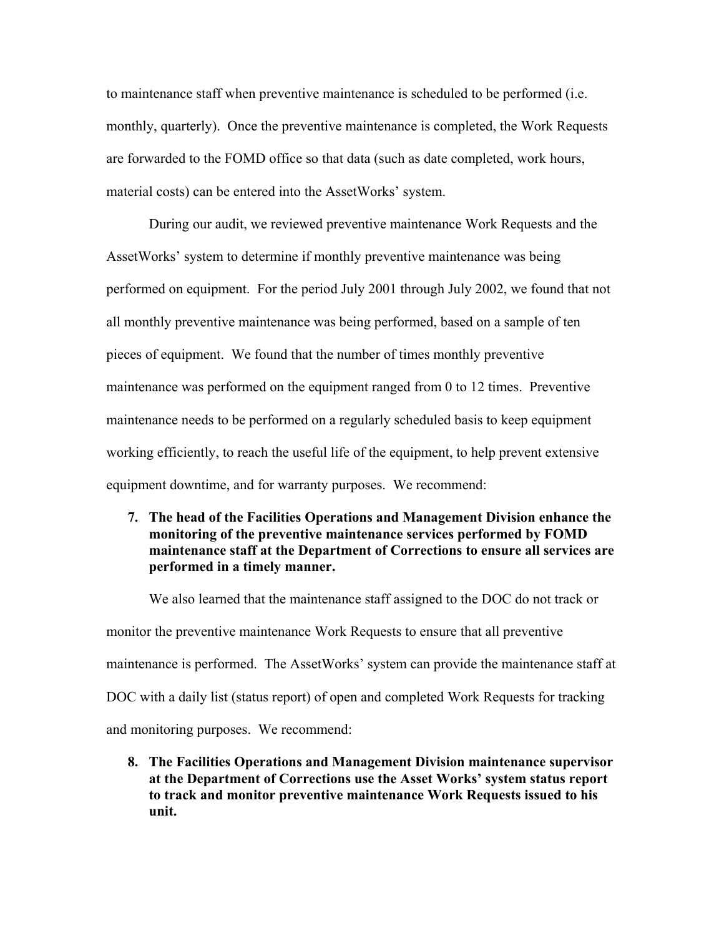to maintenance staff when preventive maintenance is scheduled to be performed (i.e. monthly, quarterly). Once the preventive maintenance is completed, the Work Requests are forwarded to the FOMD office so that data (such as date completed, work hours, material costs) can be entered into the AssetWorks' system.

 During our audit, we reviewed preventive maintenance Work Requests and the AssetWorks' system to determine if monthly preventive maintenance was being performed on equipment. For the period July 2001 through July 2002, we found that not all monthly preventive maintenance was being performed, based on a sample of ten pieces of equipment. We found that the number of times monthly preventive maintenance was performed on the equipment ranged from 0 to 12 times. Preventive maintenance needs to be performed on a regularly scheduled basis to keep equipment working efficiently, to reach the useful life of the equipment, to help prevent extensive equipment downtime, and for warranty purposes. We recommend:

## **7. The head of the Facilities Operations and Management Division enhance the monitoring of the preventive maintenance services performed by FOMD maintenance staff at the Department of Corrections to ensure all services are performed in a timely manner.**

 We also learned that the maintenance staff assigned to the DOC do not track or monitor the preventive maintenance Work Requests to ensure that all preventive maintenance is performed. The AssetWorks' system can provide the maintenance staff at DOC with a daily list (status report) of open and completed Work Requests for tracking and monitoring purposes. We recommend:

**8. The Facilities Operations and Management Division maintenance supervisor at the Department of Corrections use the Asset Works' system status report to track and monitor preventive maintenance Work Requests issued to his unit.**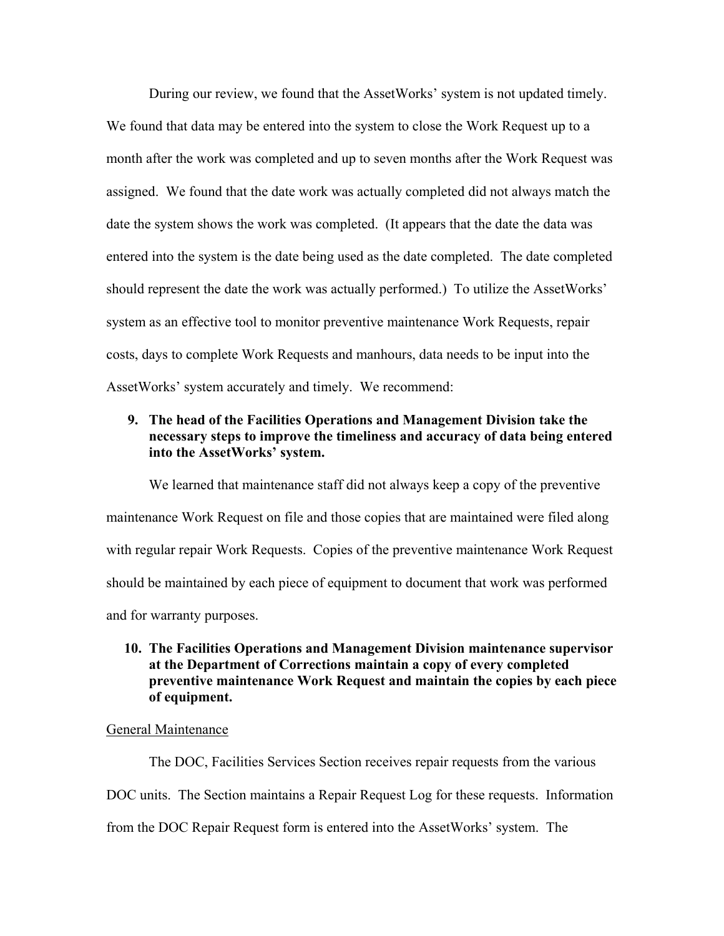During our review, we found that the AssetWorks' system is not updated timely. We found that data may be entered into the system to close the Work Request up to a month after the work was completed and up to seven months after the Work Request was assigned. We found that the date work was actually completed did not always match the date the system shows the work was completed. (It appears that the date the data was entered into the system is the date being used as the date completed. The date completed should represent the date the work was actually performed.) To utilize the AssetWorks' system as an effective tool to monitor preventive maintenance Work Requests, repair costs, days to complete Work Requests and manhours, data needs to be input into the AssetWorks' system accurately and timely. We recommend:

## **9. The head of the Facilities Operations and Management Division take the necessary steps to improve the timeliness and accuracy of data being entered into the AssetWorks' system.**

We learned that maintenance staff did not always keep a copy of the preventive maintenance Work Request on file and those copies that are maintained were filed along with regular repair Work Requests. Copies of the preventive maintenance Work Request should be maintained by each piece of equipment to document that work was performed and for warranty purposes.

## **10. The Facilities Operations and Management Division maintenance supervisor at the Department of Corrections maintain a copy of every completed preventive maintenance Work Request and maintain the copies by each piece of equipment.**

#### General Maintenance

 The DOC, Facilities Services Section receives repair requests from the various DOC units. The Section maintains a Repair Request Log for these requests. Information from the DOC Repair Request form is entered into the AssetWorks' system. The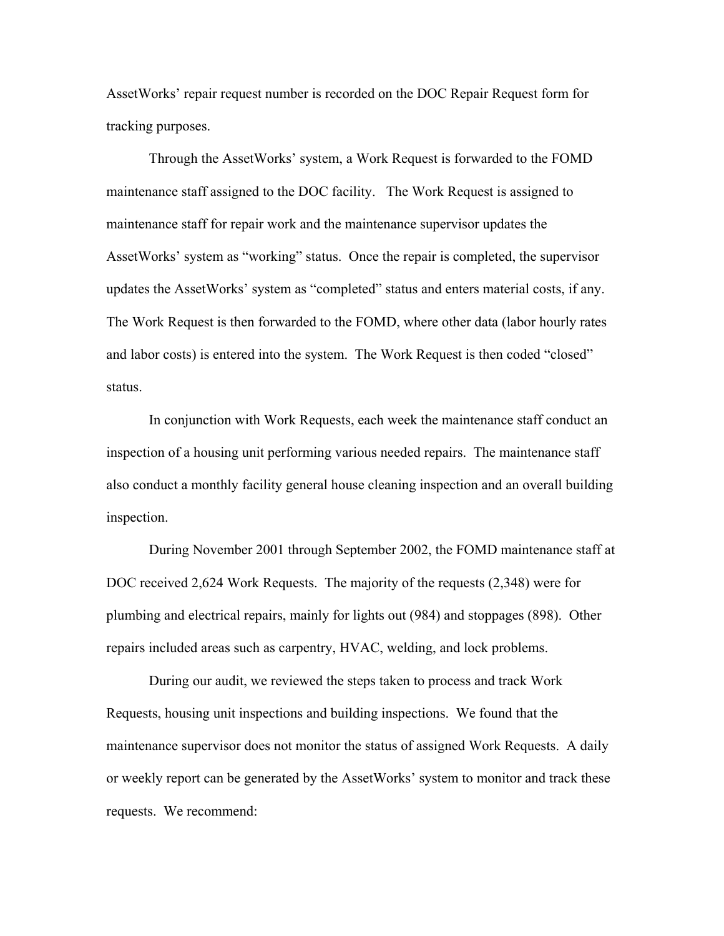AssetWorks' repair request number is recorded on the DOC Repair Request form for tracking purposes.

Through the AssetWorks' system, a Work Request is forwarded to the FOMD maintenance staff assigned to the DOC facility. The Work Request is assigned to maintenance staff for repair work and the maintenance supervisor updates the AssetWorks' system as "working" status. Once the repair is completed, the supervisor updates the AssetWorks' system as "completed" status and enters material costs, if any. The Work Request is then forwarded to the FOMD, where other data (labor hourly rates and labor costs) is entered into the system. The Work Request is then coded "closed" status.

In conjunction with Work Requests, each week the maintenance staff conduct an inspection of a housing unit performing various needed repairs. The maintenance staff also conduct a monthly facility general house cleaning inspection and an overall building inspection.

During November 2001 through September 2002, the FOMD maintenance staff at DOC received 2,624 Work Requests. The majority of the requests (2,348) were for plumbing and electrical repairs, mainly for lights out (984) and stoppages (898). Other repairs included areas such as carpentry, HVAC, welding, and lock problems.

During our audit, we reviewed the steps taken to process and track Work Requests, housing unit inspections and building inspections. We found that the maintenance supervisor does not monitor the status of assigned Work Requests. A daily or weekly report can be generated by the AssetWorks' system to monitor and track these requests. We recommend: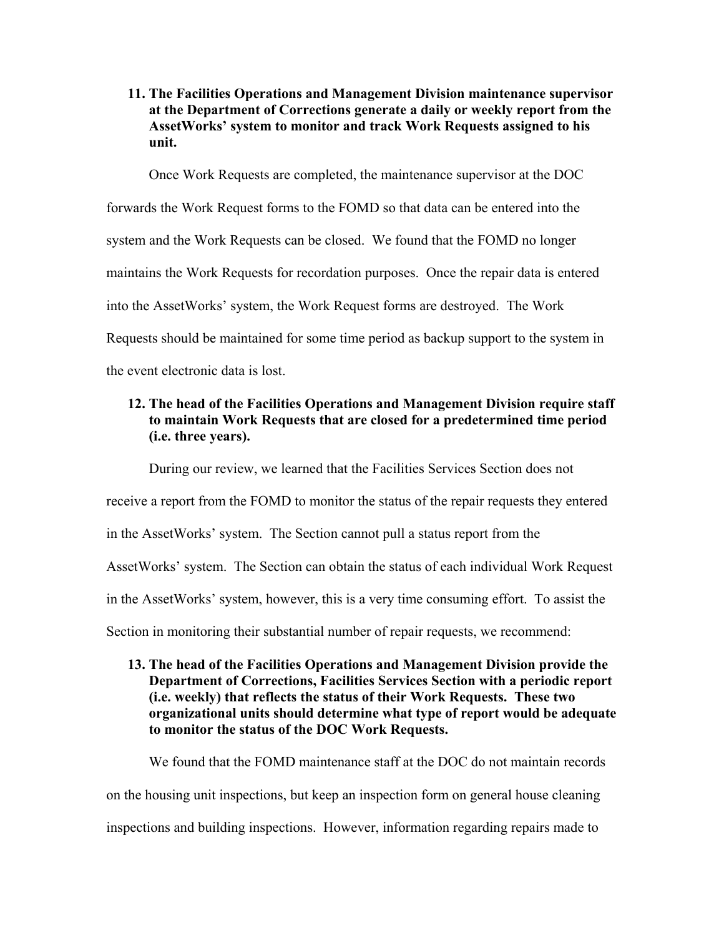**11. The Facilities Operations and Management Division maintenance supervisor at the Department of Corrections generate a daily or weekly report from the AssetWorks' system to monitor and track Work Requests assigned to his unit.** 

Once Work Requests are completed, the maintenance supervisor at the DOC

forwards the Work Request forms to the FOMD so that data can be entered into the system and the Work Requests can be closed. We found that the FOMD no longer maintains the Work Requests for recordation purposes. Once the repair data is entered into the AssetWorks' system, the Work Request forms are destroyed. The Work Requests should be maintained for some time period as backup support to the system in

the event electronic data is lost.

## **12. The head of the Facilities Operations and Management Division require staff to maintain Work Requests that are closed for a predetermined time period (i.e. three years).**

During our review, we learned that the Facilities Services Section does not receive a report from the FOMD to monitor the status of the repair requests they entered in the AssetWorks' system. The Section cannot pull a status report from the AssetWorks' system. The Section can obtain the status of each individual Work Request in the AssetWorks' system, however, this is a very time consuming effort. To assist the Section in monitoring their substantial number of repair requests, we recommend:

## **13. The head of the Facilities Operations and Management Division provide the Department of Corrections, Facilities Services Section with a periodic report (i.e. weekly) that reflects the status of their Work Requests. These two organizational units should determine what type of report would be adequate to monitor the status of the DOC Work Requests.**

We found that the FOMD maintenance staff at the DOC do not maintain records on the housing unit inspections, but keep an inspection form on general house cleaning inspections and building inspections. However, information regarding repairs made to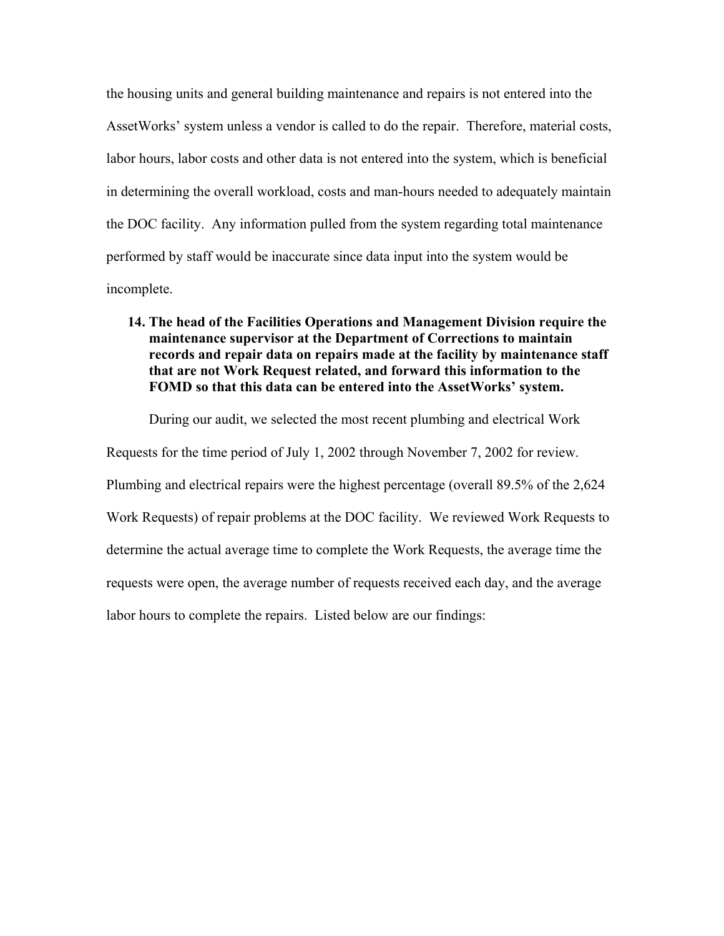the housing units and general building maintenance and repairs is not entered into the AssetWorks' system unless a vendor is called to do the repair. Therefore, material costs, labor hours, labor costs and other data is not entered into the system, which is beneficial in determining the overall workload, costs and man-hours needed to adequately maintain the DOC facility. Any information pulled from the system regarding total maintenance performed by staff would be inaccurate since data input into the system would be incomplete.

**14. The head of the Facilities Operations and Management Division require the maintenance supervisor at the Department of Corrections to maintain records and repair data on repairs made at the facility by maintenance staff that are not Work Request related, and forward this information to the FOMD so that this data can be entered into the AssetWorks' system.** 

During our audit, we selected the most recent plumbing and electrical Work Requests for the time period of July 1, 2002 through November 7, 2002 for review. Plumbing and electrical repairs were the highest percentage (overall 89.5% of the 2,624 Work Requests) of repair problems at the DOC facility. We reviewed Work Requests to determine the actual average time to complete the Work Requests, the average time the requests were open, the average number of requests received each day, and the average labor hours to complete the repairs. Listed below are our findings: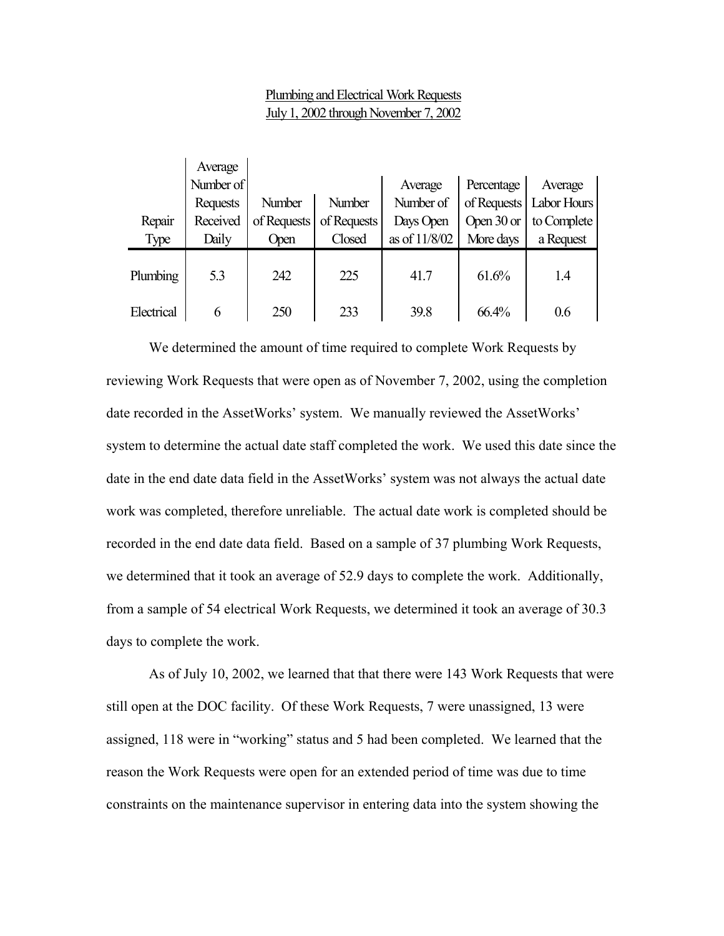## Plumbing and Electrical Work Requests July 1, 2002 through November 7, 2002

|            | Average   |             |             |               |                       |                           |
|------------|-----------|-------------|-------------|---------------|-----------------------|---------------------------|
|            | Number of |             |             | Average       | Percentage            | Average                   |
|            | Requests  | Number      | Number      | Number of     |                       | of Requests   Labor Hours |
| Repair     | Received  | of Requests | of Requests | Days Open     | Open $30 \text{ or }$ | to Complete               |
| Type       | Daily     | Open        | Closed      | as of 11/8/02 | More days             | a Request                 |
| Plumbing   | 5.3       | 242         | 225         | 41.7          | 61.6%                 | 1.4                       |
| Electrical | 6         | 250         | 233         | 39.8          | 66.4%                 | 0.6                       |

We determined the amount of time required to complete Work Requests by reviewing Work Requests that were open as of November 7, 2002, using the completion date recorded in the AssetWorks' system. We manually reviewed the AssetWorks' system to determine the actual date staff completed the work. We used this date since the date in the end date data field in the AssetWorks' system was not always the actual date work was completed, therefore unreliable. The actual date work is completed should be recorded in the end date data field. Based on a sample of 37 plumbing Work Requests, we determined that it took an average of 52.9 days to complete the work. Additionally, from a sample of 54 electrical Work Requests, we determined it took an average of 30.3 days to complete the work.

As of July 10, 2002, we learned that that there were 143 Work Requests that were still open at the DOC facility. Of these Work Requests, 7 were unassigned, 13 were assigned, 118 were in "working" status and 5 had been completed. We learned that the reason the Work Requests were open for an extended period of time was due to time constraints on the maintenance supervisor in entering data into the system showing the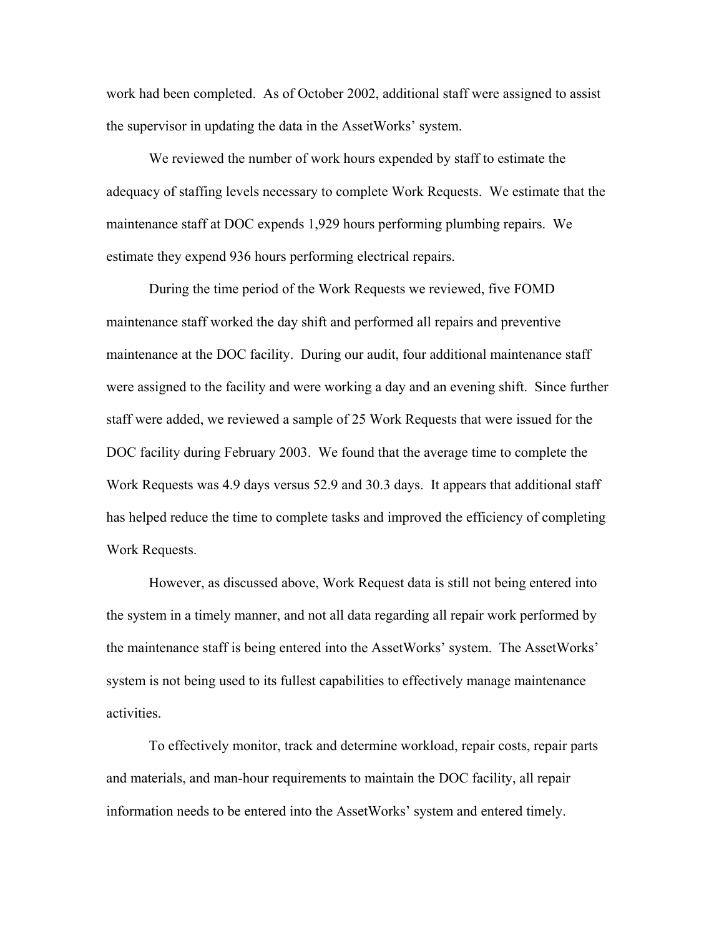work had been completed. As of October 2002, additional staff were assigned to assist the supervisor in updating the data in the AssetWorks' system.

 We reviewed the number of work hours expended by staff to estimate the adequacy of staffing levels necessary to complete Work Requests. We estimate that the maintenance staff at DOC expends 1,929 hours performing plumbing repairs. We estimate they expend 936 hours performing electrical repairs.

 During the time period of the Work Requests we reviewed, five FOMD maintenance staff worked the day shift and performed all repairs and preventive maintenance at the DOC facility. During our audit, four additional maintenance staff were assigned to the facility and were working a day and an evening shift. Since further staff were added, we reviewed a sample of 25 Work Requests that were issued for the DOC facility during February 2003. We found that the average time to complete the Work Requests was 4.9 days versus 52.9 and 30.3 days. It appears that additional staff has helped reduce the time to complete tasks and improved the efficiency of completing Work Requests.

 However, as discussed above, Work Request data is still not being entered into the system in a timely manner, and not all data regarding all repair work performed by the maintenance staff is being entered into the AssetWorks' system. The AssetWorks' system is not being used to its fullest capabilities to effectively manage maintenance activities.

 To effectively monitor, track and determine workload, repair costs, repair parts and materials, and man-hour requirements to maintain the DOC facility, all repair information needs to be entered into the AssetWorks' system and entered timely.